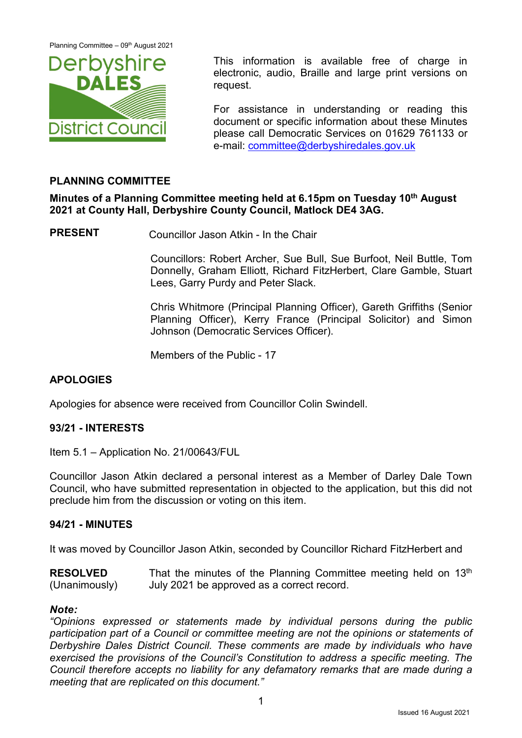Planning Committee - 09<sup>th</sup> August 2021



This information is available free of charge in electronic, audio, Braille and large print versions on request.

For assistance in understanding or reading this document or specific information about these Minutes please call Democratic Services on 01629 761133 or e-mail: [committee@derbyshiredales.gov.uk](mailto:committee@derbyshiredales.gov.uk)

# **PLANNING COMMITTEE**

**Minutes of a Planning Committee meeting held at 6.15pm on Tuesday 10th August 2021 at County Hall, Derbyshire County Council, Matlock DE4 3AG.**

**PRESENT** Councillor Jason Atkin - In the Chair

Councillors: Robert Archer, Sue Bull, Sue Burfoot, Neil Buttle, Tom Donnelly, Graham Elliott, Richard FitzHerbert, Clare Gamble, Stuart Lees, Garry Purdy and Peter Slack.

Chris Whitmore (Principal Planning Officer), Gareth Griffiths (Senior Planning Officer), Kerry France (Principal Solicitor) and Simon Johnson (Democratic Services Officer).

Members of the Public - 17

# **APOLOGIES**

Apologies for absence were received from Councillor Colin Swindell.

### **93/21 - INTERESTS**

Item 5.1 – Application No. 21/00643/FUL

Councillor Jason Atkin declared a personal interest as a Member of Darley Dale Town Council, who have submitted representation in objected to the application, but this did not preclude him from the discussion or voting on this item.

### **94/21 - MINUTES**

It was moved by Councillor Jason Atkin, seconded by Councillor Richard FitzHerbert and

**RESOLVED** (Unanimously) That the minutes of the Planning Committee meeting held on 13<sup>th</sup> July 2021 be approved as a correct record.

#### *Note:*

*"Opinions expressed or statements made by individual persons during the public participation part of a Council or committee meeting are not the opinions or statements of Derbyshire Dales District Council. These comments are made by individuals who have exercised the provisions of the Council's Constitution to address a specific meeting. The Council therefore accepts no liability for any defamatory remarks that are made during a meeting that are replicated on this document."*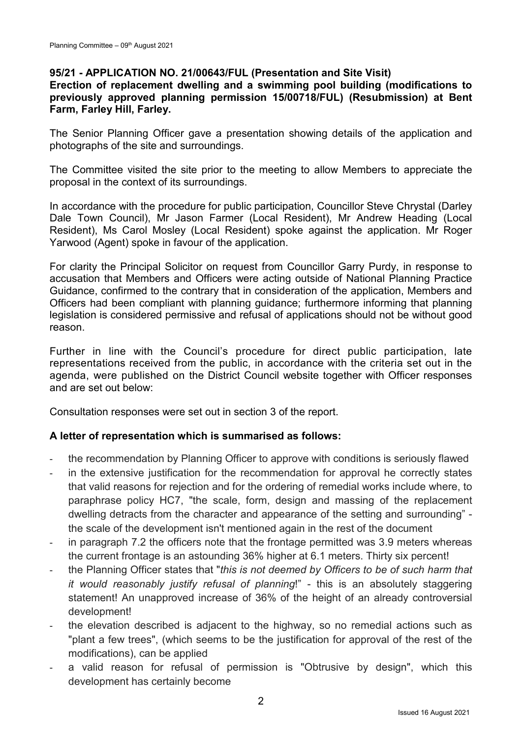## **95/21 - APPLICATION NO. 21/00643/FUL (Presentation and Site Visit)**

## **Erection of replacement dwelling and a swimming pool building (modifications to previously approved planning permission 15/00718/FUL) (Resubmission) at Bent Farm, Farley Hill, Farley.**

The Senior Planning Officer gave a presentation showing details of the application and photographs of the site and surroundings.

The Committee visited the site prior to the meeting to allow Members to appreciate the proposal in the context of its surroundings.

In accordance with the procedure for public participation, Councillor Steve Chrystal (Darley Dale Town Council), Mr Jason Farmer (Local Resident), Mr Andrew Heading (Local Resident), Ms Carol Mosley (Local Resident) spoke against the application. Mr Roger Yarwood (Agent) spoke in favour of the application.

For clarity the Principal Solicitor on request from Councillor Garry Purdy, in response to accusation that Members and Officers were acting outside of National Planning Practice Guidance, confirmed to the contrary that in consideration of the application, Members and Officers had been compliant with planning guidance; furthermore informing that planning legislation is considered permissive and refusal of applications should not be without good reason.

Further in line with the Council's procedure for direct public participation, late representations received from the public, in accordance with the criteria set out in the agenda, were published on the District Council website together with Officer responses and are set out below:

Consultation responses were set out in section 3 of the report.

### **A letter of representation which is summarised as follows:**

- the recommendation by Planning Officer to approve with conditions is seriously flawed
- in the extensive justification for the recommendation for approval he correctly states that valid reasons for rejection and for the ordering of remedial works include where, to paraphrase policy HC7, "the scale, form, design and massing of the replacement dwelling detracts from the character and appearance of the setting and surrounding" the scale of the development isn't mentioned again in the rest of the document
- in paragraph 7.2 the officers note that the frontage permitted was 3.9 meters whereas the current frontage is an astounding 36% higher at 6.1 meters. Thirty six percent!
- the Planning Officer states that "this is not deemed by Officers to be of such harm that *it would reasonably justify refusal of planning*!" - this is an absolutely staggering statement! An unapproved increase of 36% of the height of an already controversial development!
- the elevation described is adjacent to the highway, so no remedial actions such as "plant a few trees", (which seems to be the justification for approval of the rest of the modifications), can be applied
- a valid reason for refusal of permission is "Obtrusive by design", which this development has certainly become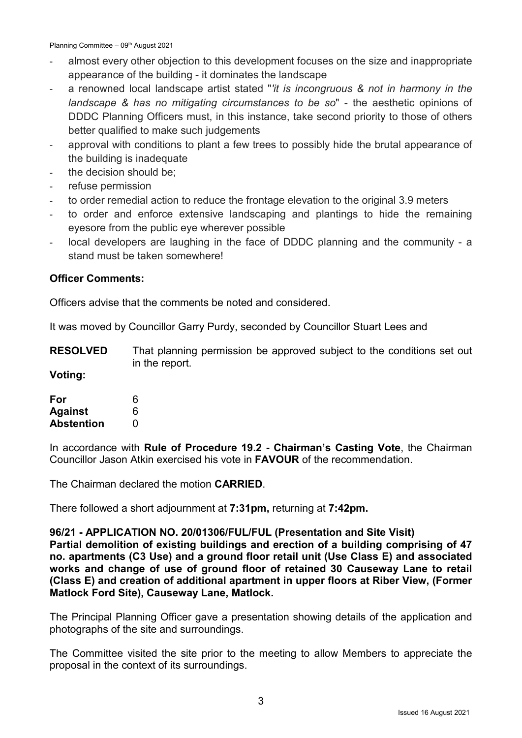Planning Committee - 09<sup>th</sup> August 2021

- almost every other objection to this development focuses on the size and inappropriate appearance of the building - it dominates the landscape
- a renowned local landscape artist stated "*'it is incongruous & not in harmony in the landscape & has no mitigating circumstances to be so*" - the aesthetic opinions of DDDC Planning Officers must, in this instance, take second priority to those of others better qualified to make such judgements
- approval with conditions to plant a few trees to possibly hide the brutal appearance of the building is inadequate
- the decision should be:
- refuse permission
- to order remedial action to reduce the frontage elevation to the original 3.9 meters
- to order and enforce extensive landscaping and plantings to hide the remaining eyesore from the public eye wherever possible
- local developers are laughing in the face of DDDC planning and the community a stand must be taken somewhere!

### **Officer Comments:**

Officers advise that the comments be noted and considered.

It was moved by Councillor Garry Purdy, seconded by Councillor Stuart Lees and

**RESOLVED** That planning permission be approved subject to the conditions set out in the report.

**Voting:**

| For               | 6 |
|-------------------|---|
| <b>Against</b>    | 6 |
| <b>Abstention</b> | O |

In accordance with **Rule of Procedure 19.2 - Chairman's Casting Vote**, the Chairman Councillor Jason Atkin exercised his vote in **FAVOUR** of the recommendation.

The Chairman declared the motion **CARRIED**.

There followed a short adjournment at **7:31pm,** returning at **7:42pm.**

**96/21 - APPLICATION NO. 20/01306/FUL/FUL (Presentation and Site Visit) Partial demolition of existing buildings and erection of a building comprising of 47 no. apartments (C3 Use) and a ground floor retail unit (Use Class E) and associated works and change of use of ground floor of retained 30 Causeway Lane to retail (Class E) and creation of additional apartment in upper floors at Riber View, (Former Matlock Ford Site), Causeway Lane, Matlock.**

The Principal Planning Officer gave a presentation showing details of the application and photographs of the site and surroundings.

The Committee visited the site prior to the meeting to allow Members to appreciate the proposal in the context of its surroundings.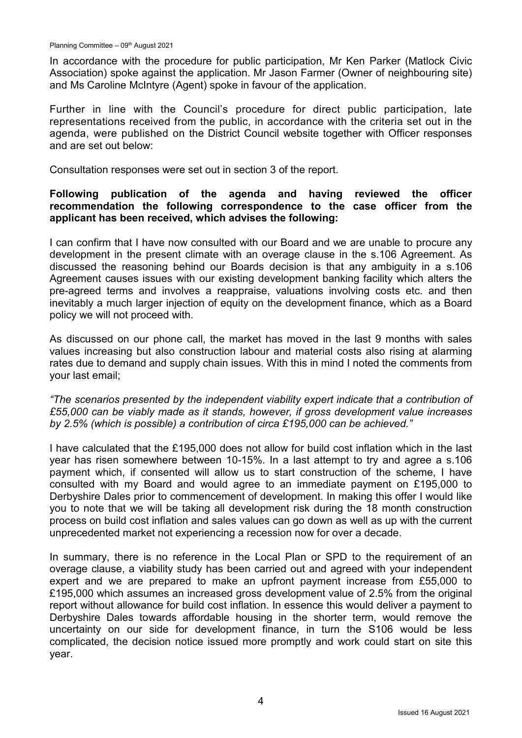In accordance with the procedure for public participation, Mr Ken Parker (Matlock Civic Association) spoke against the application. Mr Jason Farmer (Owner of neighbouring site) and Ms Caroline McIntyre (Agent) spoke in favour of the application.

Further in line with the Council's procedure for direct public participation, late representations received from the public, in accordance with the criteria set out in the agenda, were published on the District Council website together with Officer responses and are set out below:

Consultation responses were set out in section 3 of the report.

### **Following publication of the agenda and having reviewed the officer recommendation the following correspondence to the case officer from the applicant has been received, which advises the following:**

I can confirm that I have now consulted with our Board and we are unable to procure any development in the present climate with an overage clause in the s.106 Agreement. As discussed the reasoning behind our Boards decision is that any ambiguity in a s.106 Agreement causes issues with our existing development banking facility which alters the pre-agreed terms and involves a reappraise, valuations involving costs etc. and then inevitably a much larger injection of equity on the development finance, which as a Board policy we will not proceed with.

As discussed on our phone call, the market has moved in the last 9 months with sales values increasing but also construction labour and material costs also rising at alarming rates due to demand and supply chain issues. With this in mind I noted the comments from your last email;

*"The scenarios presented by the independent viability expert indicate that a contribution of £55,000 can be viably made as it stands, however, if gross development value increases by 2.5% (which is possible) a contribution of circa £195,000 can be achieved."*

I have calculated that the £195,000 does not allow for build cost inflation which in the last year has risen somewhere between 10-15%. In a last attempt to try and agree a s.106 payment which, if consented will allow us to start construction of the scheme, I have consulted with my Board and would agree to an immediate payment on £195,000 to Derbyshire Dales prior to commencement of development. In making this offer I would like you to note that we will be taking all development risk during the 18 month construction process on build cost inflation and sales values can go down as well as up with the current unprecedented market not experiencing a recession now for over a decade.

In summary, there is no reference in the Local Plan or SPD to the requirement of an overage clause, a viability study has been carried out and agreed with your independent expert and we are prepared to make an upfront payment increase from £55,000 to £195,000 which assumes an increased gross development value of 2.5% from the original report without allowance for build cost inflation. In essence this would deliver a payment to Derbyshire Dales towards affordable housing in the shorter term, would remove the uncertainty on our side for development finance, in turn the S106 would be less complicated, the decision notice issued more promptly and work could start on site this year.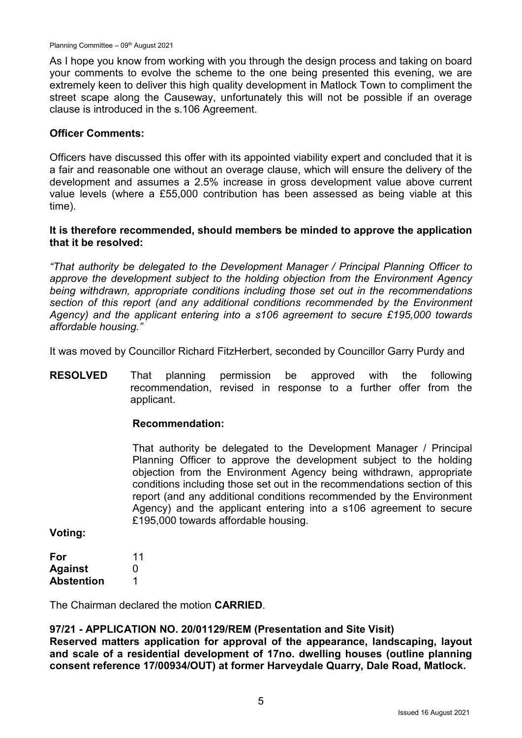As I hope you know from working with you through the design process and taking on board your comments to evolve the scheme to the one being presented this evening, we are extremely keen to deliver this high quality development in Matlock Town to compliment the street scape along the Causeway, unfortunately this will not be possible if an overage clause is introduced in the s.106 Agreement.

### **Officer Comments:**

Officers have discussed this offer with its appointed viability expert and concluded that it is a fair and reasonable one without an overage clause, which will ensure the delivery of the development and assumes a 2.5% increase in gross development value above current value levels (where a £55,000 contribution has been assessed as being viable at this time).

#### **It is therefore recommended, should members be minded to approve the application that it be resolved:**

*"That authority be delegated to the Development Manager / Principal Planning Officer to approve the development subject to the holding objection from the Environment Agency being withdrawn, appropriate conditions including those set out in the recommendations section of this report (and any additional conditions recommended by the Environment Agency) and the applicant entering into a s106 agreement to secure £195,000 towards affordable housing."*

It was moved by Councillor Richard FitzHerbert, seconded by Councillor Garry Purdy and

**RESOLVED** That planning permission be approved with the following recommendation, revised in response to a further offer from the applicant.

### **Recommendation:**

That authority be delegated to the Development Manager / Principal Planning Officer to approve the development subject to the holding objection from the Environment Agency being withdrawn, appropriate conditions including those set out in the recommendations section of this report (and any additional conditions recommended by the Environment Agency) and the applicant entering into a s106 agreement to secure £195,000 towards affordable housing.

**Voting:**

| For               | 11 |
|-------------------|----|
| <b>Against</b>    | O  |
| <b>Abstention</b> | 1  |

The Chairman declared the motion **CARRIED**.

### **97/21 - APPLICATION NO. 20/01129/REM (Presentation and Site Visit)**

**Reserved matters application for approval of the appearance, landscaping, layout and scale of a residential development of 17no. dwelling houses (outline planning consent reference 17/00934/OUT) at former Harveydale Quarry, Dale Road, Matlock.**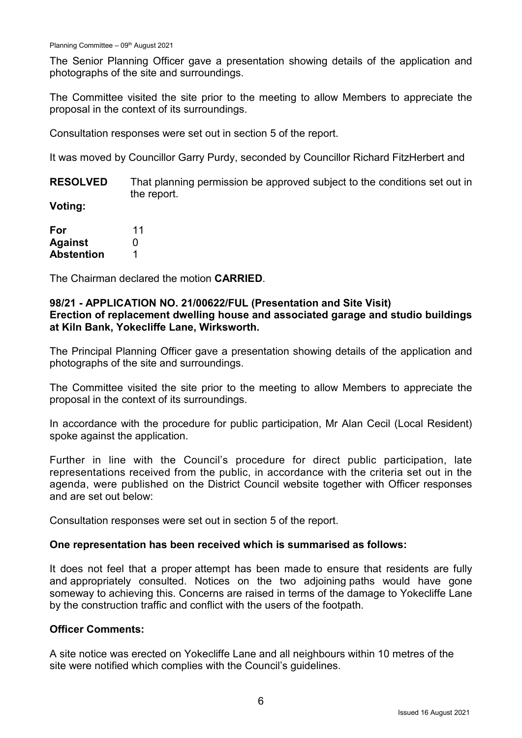The Senior Planning Officer gave a presentation showing details of the application and photographs of the site and surroundings.

The Committee visited the site prior to the meeting to allow Members to appreciate the proposal in the context of its surroundings.

Consultation responses were set out in section 5 of the report.

It was moved by Councillor Garry Purdy, seconded by Councillor Richard FitzHerbert and

**RESOLVED** That planning permission be approved subject to the conditions set out in the report.

**Voting:**

| For               | 11 |
|-------------------|----|
| <b>Against</b>    | O  |
| <b>Abstention</b> | 1  |

The Chairman declared the motion **CARRIED**.

### **98/21 - APPLICATION NO. 21/00622/FUL (Presentation and Site Visit) Erection of replacement dwelling house and associated garage and studio buildings at Kiln Bank, Yokecliffe Lane, Wirksworth.**

The Principal Planning Officer gave a presentation showing details of the application and photographs of the site and surroundings.

The Committee visited the site prior to the meeting to allow Members to appreciate the proposal in the context of its surroundings.

In accordance with the procedure for public participation, Mr Alan Cecil (Local Resident) spoke against the application.

Further in line with the Council's procedure for direct public participation, late representations received from the public, in accordance with the criteria set out in the agenda, were published on the District Council website together with Officer responses and are set out below:

Consultation responses were set out in section 5 of the report.

#### **One representation has been received which is summarised as follows:**

It does not feel that a proper attempt has been made to ensure that residents are fully and appropriately consulted. Notices on the two adjoining paths would have gone someway to achieving this. Concerns are raised in terms of the damage to Yokecliffe Lane by the construction traffic and conflict with the users of the footpath.

### **Officer Comments:**

A site notice was erected on Yokecliffe Lane and all neighbours within 10 metres of the site were notified which complies with the Council's guidelines.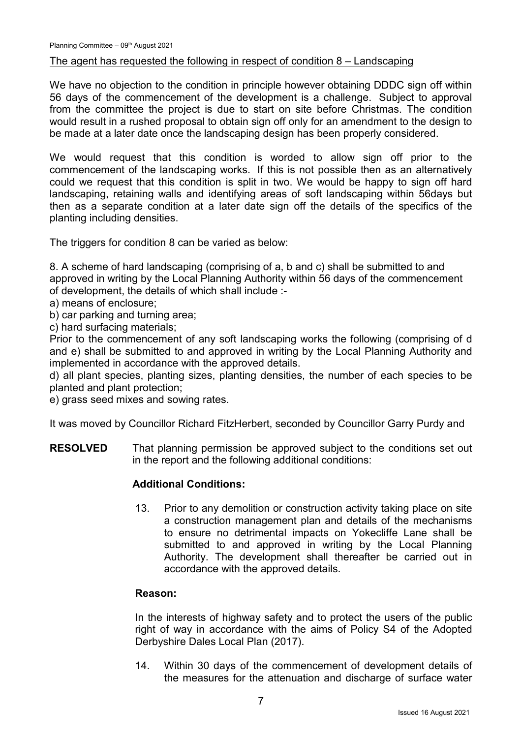### The agent has requested the following in respect of condition 8 – Landscaping

We have no objection to the condition in principle however obtaining DDDC sign off within 56 days of the commencement of the development is a challenge. Subject to approval from the committee the project is due to start on site before Christmas. The condition would result in a rushed proposal to obtain sign off only for an amendment to the design to be made at a later date once the landscaping design has been properly considered.

We would request that this condition is worded to allow sign off prior to the commencement of the landscaping works. If this is not possible then as an alternatively could we request that this condition is split in two. We would be happy to sign off hard landscaping, retaining walls and identifying areas of soft landscaping within 56days but then as a separate condition at a later date sign off the details of the specifics of the planting including densities.

The triggers for condition 8 can be varied as below:

8. A scheme of hard landscaping (comprising of a, b and c) shall be submitted to and approved in writing by the Local Planning Authority within 56 days of the commencement of development, the details of which shall include :-

a) means of enclosure;

b) car parking and turning area;

c) hard surfacing materials;

Prior to the commencement of any soft landscaping works the following (comprising of d and e) shall be submitted to and approved in writing by the Local Planning Authority and implemented in accordance with the approved details.

d) all plant species, planting sizes, planting densities, the number of each species to be planted and plant protection;

e) grass seed mixes and sowing rates.

It was moved by Councillor Richard FitzHerbert, seconded by Councillor Garry Purdy and

**RESOLVED** That planning permission be approved subject to the conditions set out in the report and the following additional conditions:

### **Additional Conditions:**

13. Prior to any demolition or construction activity taking place on site a construction management plan and details of the mechanisms to ensure no detrimental impacts on Yokecliffe Lane shall be submitted to and approved in writing by the Local Planning Authority. The development shall thereafter be carried out in accordance with the approved details.

#### **Reason:**

In the interests of highway safety and to protect the users of the public right of way in accordance with the aims of Policy S4 of the Adopted Derbyshire Dales Local Plan (2017).

14. Within 30 days of the commencement of development details of the measures for the attenuation and discharge of surface water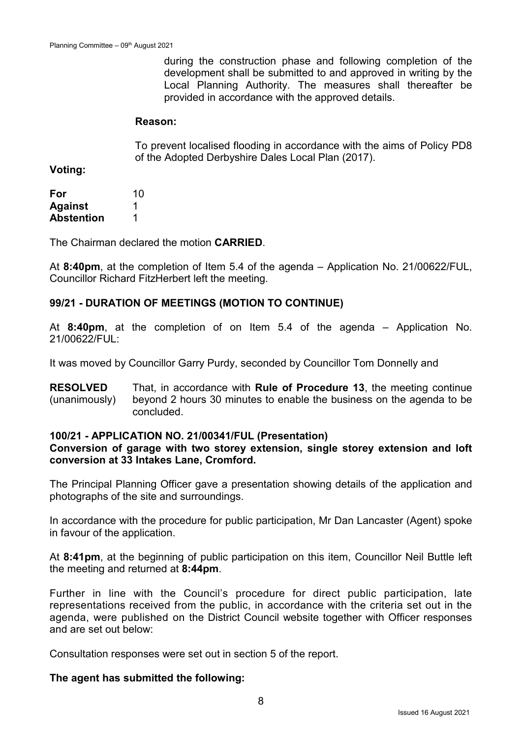during the construction phase and following completion of the development shall be submitted to and approved in writing by the Local Planning Authority. The measures shall thereafter be provided in accordance with the approved details.

#### **Reason:**

To prevent localised flooding in accordance with the aims of Policy PD8 of the Adopted Derbyshire Dales Local Plan (2017).

**Voting:**

| For               | 10 |
|-------------------|----|
| <b>Against</b>    |    |
| <b>Abstention</b> | 1  |

The Chairman declared the motion **CARRIED**.

At **8:40pm**, at the completion of Item 5.4 of the agenda – Application No. 21/00622/FUL, Councillor Richard FitzHerbert left the meeting.

### **99/21 - DURATION OF MEETINGS (MOTION TO CONTINUE)**

At **8:40pm**, at the completion of on Item 5.4 of the agenda – Application No. 21/00622/FUL:

It was moved by Councillor Garry Purdy, seconded by Councillor Tom Donnelly and

**RESOLVED** (unanimously) That, in accordance with **Rule of Procedure 13**, the meeting continue beyond 2 hours 30 minutes to enable the business on the agenda to be concluded.

#### **100/21 - APPLICATION NO. 21/00341/FUL (Presentation)**

#### **Conversion of garage with two storey extension, single storey extension and loft conversion at 33 Intakes Lane, Cromford.**

The Principal Planning Officer gave a presentation showing details of the application and photographs of the site and surroundings.

In accordance with the procedure for public participation, Mr Dan Lancaster (Agent) spoke in favour of the application.

At **8:41pm**, at the beginning of public participation on this item, Councillor Neil Buttle left the meeting and returned at **8:44pm**.

Further in line with the Council's procedure for direct public participation, late representations received from the public, in accordance with the criteria set out in the agenda, were published on the District Council website together with Officer responses and are set out below:

Consultation responses were set out in section 5 of the report.

#### **The agent has submitted the following:**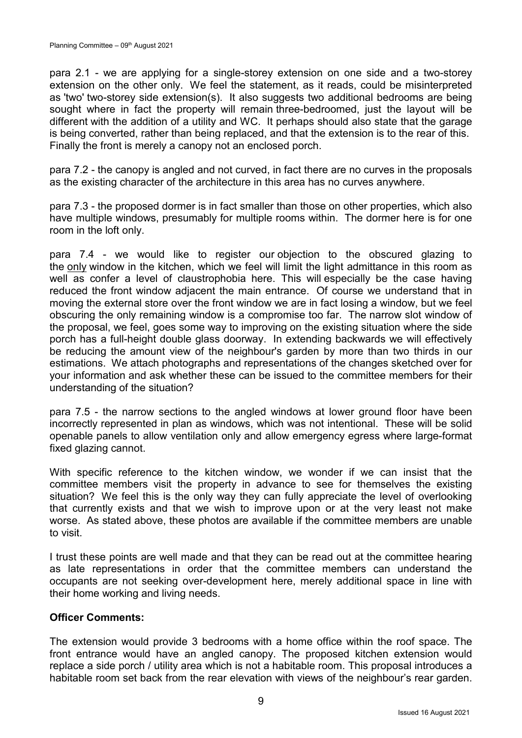para 2.1 - we are applying for a single-storey extension on one side and a two-storey extension on the other only. We feel the statement, as it reads, could be misinterpreted as 'two' two-storey side extension(s). It also suggests two additional bedrooms are being sought where in fact the property will remain three-bedroomed, just the layout will be different with the addition of a utility and WC. It perhaps should also state that the garage is being converted, rather than being replaced, and that the extension is to the rear of this. Finally the front is merely a canopy not an enclosed porch.

para 7.2 - the canopy is angled and not curved, in fact there are no curves in the proposals as the existing character of the architecture in this area has no curves anywhere.

para 7.3 - the proposed dormer is in fact smaller than those on other properties, which also have multiple windows, presumably for multiple rooms within. The dormer here is for one room in the loft only.

para 7.4 - we would like to register our objection to the obscured glazing to the only window in the kitchen, which we feel will limit the light admittance in this room as well as confer a level of claustrophobia here. This will especially be the case having reduced the front window adjacent the main entrance. Of course we understand that in moving the external store over the front window we are in fact losing a window, but we feel obscuring the only remaining window is a compromise too far. The narrow slot window of the proposal, we feel, goes some way to improving on the existing situation where the side porch has a full-height double glass doorway. In extending backwards we will effectively be reducing the amount view of the neighbour's garden by more than two thirds in our estimations. We attach photographs and representations of the changes sketched over for your information and ask whether these can be issued to the committee members for their understanding of the situation?

para 7.5 - the narrow sections to the angled windows at lower ground floor have been incorrectly represented in plan as windows, which was not intentional. These will be solid openable panels to allow ventilation only and allow emergency egress where large-format fixed glazing cannot.

With specific reference to the kitchen window, we wonder if we can insist that the committee members visit the property in advance to see for themselves the existing situation? We feel this is the only way they can fully appreciate the level of overlooking that currently exists and that we wish to improve upon or at the very least not make worse. As stated above, these photos are available if the committee members are unable to visit.

I trust these points are well made and that they can be read out at the committee hearing as late representations in order that the committee members can understand the occupants are not seeking over-development here, merely additional space in line with their home working and living needs.

### **Officer Comments:**

The extension would provide 3 bedrooms with a home office within the roof space. The front entrance would have an angled canopy. The proposed kitchen extension would replace a side porch / utility area which is not a habitable room. This proposal introduces a habitable room set back from the rear elevation with views of the neighbour's rear garden.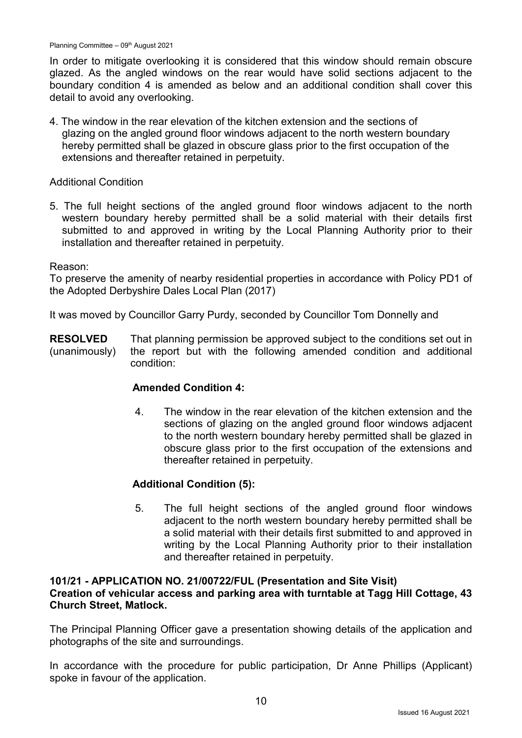In order to mitigate overlooking it is considered that this window should remain obscure glazed. As the angled windows on the rear would have solid sections adjacent to the boundary condition 4 is amended as below and an additional condition shall cover this detail to avoid any overlooking.

4. The window in the rear elevation of the kitchen extension and the sections of glazing on the angled ground floor windows adjacent to the north western boundary hereby permitted shall be glazed in obscure glass prior to the first occupation of the extensions and thereafter retained in perpetuity.

### Additional Condition

5. The full height sections of the angled ground floor windows adjacent to the north western boundary hereby permitted shall be a solid material with their details first submitted to and approved in writing by the Local Planning Authority prior to their installation and thereafter retained in perpetuity.

#### Reason:

To preserve the amenity of nearby residential properties in accordance with Policy PD1 of the Adopted Derbyshire Dales Local Plan (2017)

It was moved by Councillor Garry Purdy, seconded by Councillor Tom Donnelly and

**RESOLVED** (unanimously) That planning permission be approved subject to the conditions set out in the report but with the following amended condition and additional condition:

### **Amended Condition 4:**

4. The window in the rear elevation of the kitchen extension and the sections of glazing on the angled ground floor windows adjacent to the north western boundary hereby permitted shall be glazed in obscure glass prior to the first occupation of the extensions and thereafter retained in perpetuity.

### **Additional Condition (5):**

5. The full height sections of the angled ground floor windows adjacent to the north western boundary hereby permitted shall be a solid material with their details first submitted to and approved in writing by the Local Planning Authority prior to their installation and thereafter retained in perpetuity.

#### **101/21 - APPLICATION NO. 21/00722/FUL (Presentation and Site Visit) Creation of vehicular access and parking area with turntable at Tagg Hill Cottage, 43 Church Street, Matlock.**

The Principal Planning Officer gave a presentation showing details of the application and photographs of the site and surroundings.

In accordance with the procedure for public participation, Dr Anne Phillips (Applicant) spoke in favour of the application.